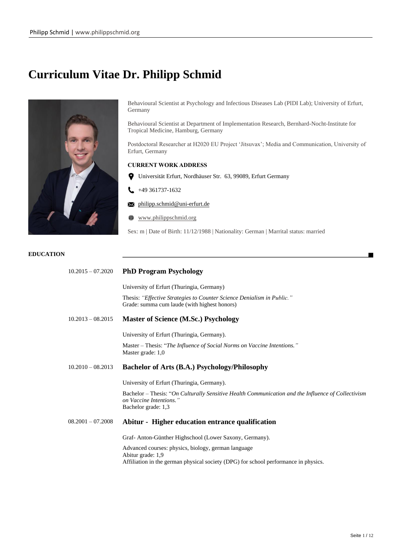# **Curriculum Vitae Dr. Philipp Schmid**



Behavioural Scientist at Psychology and Infectious Diseases Lab (PIDI Lab); University of Erfurt, Germany

Behavioural Scientist at Department of Implementation Research, Bernhard-Nocht-Institute for Tropical Medicine, Hamburg, Germany

Postdoctoral Researcher at H2020 EU Project 'Jitsuvax'; Media and Communication, University of Erfurt, Germany

# **CURRENT WORK ADDRESS**

- Universität Erfurt, Nordhäuser Str. 63, 99089, Erfurt Germany
- $\bigcup$  +49 361737-1632
- philipp.schmid@uni-erfurt.de
- ⊕ www.philippschmid.org

Sex: m | Date of Birth: 11/12/1988 | Nationality: German | Marrital status: married

# **EDUCATION**

| $10.2015 - 07.2020$ | <b>PhD Program Psychology</b>                                                                                                                        |
|---------------------|------------------------------------------------------------------------------------------------------------------------------------------------------|
|                     | University of Erfurt (Thuringia, Germany)                                                                                                            |
|                     | Thesis: "Effective Strategies to Counter Science Denialism in Public."<br>Grade: summa cum laude (with highest honors)                               |
| $10.2013 - 08.2015$ | <b>Master of Science (M.Sc.) Psychology</b>                                                                                                          |
|                     | University of Erfurt (Thuringia, Germany).                                                                                                           |
|                     | Master - Thesis: "The Influence of Social Norms on Vaccine Intentions."<br>Master grade: 1,0                                                         |
| $10.2010 - 08.2013$ | Bachelor of Arts (B.A.) Psychology/Philosophy                                                                                                        |
|                     | University of Erfurt (Thuringia, Germany).                                                                                                           |
|                     | Bachelor – Thesis: "On Culturally Sensitive Health Communication and the Influence of Collectivism<br>on Vaccine Intentions."<br>Bachelor grade: 1,3 |
| $08.2001 - 07.2008$ | Abitur - Higher education entrance qualification                                                                                                     |
|                     | Graf-Anton-Günther Highschool (Lower Saxony, Germany).                                                                                               |
|                     | Advanced courses: physics, biology, german language<br>Abitur grade: 1,9                                                                             |
|                     | Affiliation in the german physical society (DPG) for school performance in physics.                                                                  |
|                     |                                                                                                                                                      |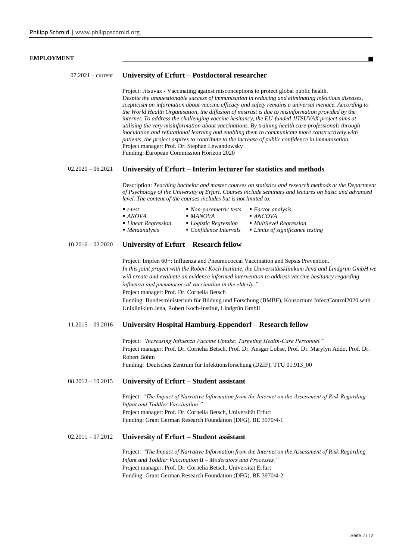### **EMPLOYMENT**

| 07.2021 – current University of Erfurt – Postdoctoral researcher |  |  |  |  |
|------------------------------------------------------------------|--|--|--|--|
|------------------------------------------------------------------|--|--|--|--|

Project: Jitsuvax - Vaccinating against misconceptions to protect global public health. *Despite the unquestionable success of immunisation in reducing and eliminating infectious diseases, scepticism on information about vaccine efficacy and safety remains a universal menace. According to the World Health Organisation, the diffusion of mistrust is due to misinformation provided by the internet. To address the challenging vaccine hesitancy, the EU-funded JITSUVAX project aims at utilising the very misinformation about vaccinations. By training health care professionals through inoculation and refutational learning and enabling them to communicate more constructively with patients, the project aspires to contribute to the increase of public confidence in immunisation.* Project manager: Prof. Dr. Stephan Lewandowsky Funding: European Commission Horizon 2020

#### 02.2020 – 06.2021 **University of Erfurt – Interim lecturer for statistics and methods**

Description: *Teaching bachelor and master courses on statistics and research methods at the Department of Psychology of the University of Erfurt. Courses include seminars and lectures on basic and advanced level. The content of the courses includes but is not limited to:*

| $-t-test$             | $\blacksquare$ Non-parametric tests | $\blacksquare$ Factor analysis                |
|-----------------------|-------------------------------------|-----------------------------------------------|
| $- ANOVA$             | $-MANOVA$                           | $- ANCOVA$                                    |
| ■ Linear Regression   | ■ <i>Logistic Regression</i>        | $\blacksquare$ Multilevel Regression          |
| ■ <i>Metaanalysis</i> | $\blacksquare$ Confidence Intervals | $\blacksquare$ Limits of significance testing |

### 10.2016 – 02.2020 **University of Erfurt – Research fellow**

Project: Impfen 60+: Influenza and Pneumococcal Vaccination and Sepsis Prevention. *In this joint project with the Robert Koch Institute, the Universitätsklinikum Jena and Lindgrün GmbH we will create and evaluate an evidence informed intervention to address vaccine hesitancy regarding influenza and pneumococcal vaccination in the elderly."* Project manager: Prof. Dr. Cornelia Betsch Funding: Bundesministerium für Bildung und Forschung (BMBF), Konsortium InfectControl2020 with Uniklinikum Jena, Robert Koch-Institut, Lindgrün GmbH

# 11.2015 – 09.2016 **University Hospital Hamburg-Eppendorf – Research fellow**

Project: *"Increasing Influenza Vaccine Uptake: Targeting Health-Care Personnel."* Project manager: Prof. Dr. Cornelia Betsch, Prof. Dr. Ansgar Lohse, Prof. Dr. Marylyn Addo, Prof. Dr. Robert Böhm Funding: Deutsches Zentrum für Infektionsforschung (DZIF), TTU 01.913\_00

#### 08.2012 – 10.2015 **University of Erfurt – Student assistant**

Project: *"The Impact of Narrative Information from the Internet on the Assessment of Risk Regarding Infant and Toddler Vaccination."* Project manager: Prof. Dr. Cornelia Betsch, Universität Erfurt Funding: Grant German Research Foundation (DFG), BE 3970/4-1

## 02.2011 – 07.2012 **University of Erfurt – Student assistant**

Project: *"The Impact of Narrative Information from the Internet on the Assessment of Risk Regarding Infant and Toddler Vaccination II – Moderators and Processes."* Project manager: Prof. Dr. Cornelia Betsch, Universität Erfurt Funding: Grant German Research Foundation (DFG), BE 3970/4-2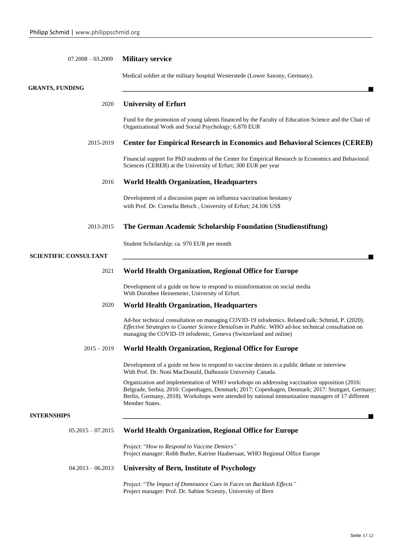| $07.2008 - 03.2009$          | <b>Military service</b>                                                                                                                                                                                                                                                                                                  |  |  |
|------------------------------|--------------------------------------------------------------------------------------------------------------------------------------------------------------------------------------------------------------------------------------------------------------------------------------------------------------------------|--|--|
|                              | Medical soldier at the military hospital Westerstede (Lower Saxony, Germany).                                                                                                                                                                                                                                            |  |  |
| <b>GRANTS, FUNDING</b>       |                                                                                                                                                                                                                                                                                                                          |  |  |
| 2020                         | <b>University of Erfurt</b>                                                                                                                                                                                                                                                                                              |  |  |
|                              | Fund for the promotion of young talents financed by the Faculty of Education Science and the Chair of<br>Organizational Work and Social Psychology; 6.870 EUR                                                                                                                                                            |  |  |
| 2015-2019                    | <b>Center for Empirical Research in Economics and Behavioral Sciences (CEREB)</b>                                                                                                                                                                                                                                        |  |  |
|                              | Financial support for PhD students of the Center for Empirical Research in Economics and Behavioral<br>Sciences (CEREB) at the University of Erfurt; 300 EUR per year                                                                                                                                                    |  |  |
| 2016                         | <b>World Health Organization, Headquarters</b>                                                                                                                                                                                                                                                                           |  |  |
|                              | Development of a discussion paper on influenza vaccination hesitancy<br>with Prof. Dr. Cornelia Betsch, University of Erfurt; 24.106 US\$                                                                                                                                                                                |  |  |
| 2013-2015                    | The German Academic Scholarship Foundation (Studienstiftung)                                                                                                                                                                                                                                                             |  |  |
|                              | Student Scholarship; ca. 970 EUR per month                                                                                                                                                                                                                                                                               |  |  |
| <b>SCIENTIFIC CONSULTANT</b> |                                                                                                                                                                                                                                                                                                                          |  |  |
| 2021                         | <b>World Health Organization, Regional Office for Europe</b>                                                                                                                                                                                                                                                             |  |  |
|                              | Development of a guide on how to respond to misinformation on social media<br>With Dorothee Heinemeier, University of Erfurt.                                                                                                                                                                                            |  |  |
| 2020                         | <b>World Health Organization, Headquarters</b>                                                                                                                                                                                                                                                                           |  |  |
|                              | Ad-hoc technical consultation on managing COVID-19 infodemics. Related talk: Schmid, P. (2020).<br>Effective Strategies to Counter Science Denialism in Public. WHO ad-hoc technical consultation on<br>managing the COVID-19 infodemic, Geneva (Switzerland and online)                                                 |  |  |
| $2015 - 2019$                | <b>World Health Organization, Regional Office for Europe</b>                                                                                                                                                                                                                                                             |  |  |
|                              | Development of a guide on how to respond to vaccine deniers in a public debate or interview<br>With Prof. Dr. Noni MacDonald, Dalhousie University Canada.                                                                                                                                                               |  |  |
|                              | Organization and implementation of WHO workshops on addressing vaccination opposition (2016:<br>Belgrade, Serbia; 2016: Copenhagen, Denmark; 2017: Copenhagen, Denmark; 2017: Stuttgart, Germany;<br>Berlin, Germany, 2018). Workshops were attended by national immunization managers of 17 different<br>Member States. |  |  |
| <b>INTERNSHIPS</b>           |                                                                                                                                                                                                                                                                                                                          |  |  |
| $05.2015 - 07.2015$          | <b>World Health Organization, Regional Office for Europe</b>                                                                                                                                                                                                                                                             |  |  |
|                              | Project: "How to Respond to Vaccine Deniers"<br>Project manager: Robb Butler, Katrine Haabersaat, WHO Regional Office Europe                                                                                                                                                                                             |  |  |
| $04.2013 - 06.2013$          | University of Bern, Institute of Psychology                                                                                                                                                                                                                                                                              |  |  |
|                              | Project: "The Impact of Dominance Cues in Faces on Backlash Effects"<br>Project manager: Prof. Dr. Sabine Sczesny, University of Bern                                                                                                                                                                                    |  |  |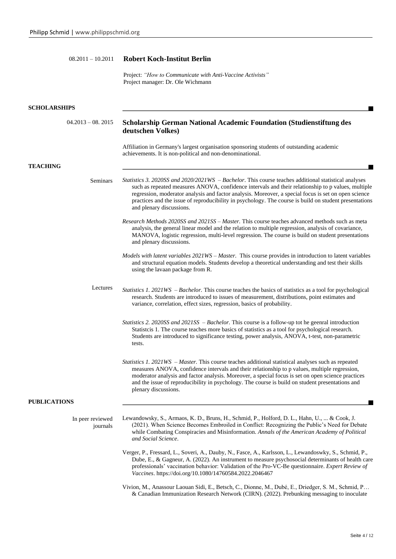# 08.2011 – 10.2011 **Robert Koch-Institut Berlin**

Project: *"How to Communicate with Anti-Vaccine Activists"* Project manager: Dr. Ole Wichmann

| <b>SCHOLARSHIPS</b>          |                                                                                                                                                                                                                                                                                                                                                                                                                                                                 |
|------------------------------|-----------------------------------------------------------------------------------------------------------------------------------------------------------------------------------------------------------------------------------------------------------------------------------------------------------------------------------------------------------------------------------------------------------------------------------------------------------------|
| $04.2013 - 08.2015$          | <b>Scholarship German National Academic Foundation (Studienstiftung des</b><br>deutschen Volkes)                                                                                                                                                                                                                                                                                                                                                                |
|                              | Affiliation in Germany's largest organisation sponsoring students of outstanding academic<br>achievements. It is non-political and non-denominational.                                                                                                                                                                                                                                                                                                          |
| <b>TEACHING</b>              |                                                                                                                                                                                                                                                                                                                                                                                                                                                                 |
| <b>Seminars</b>              | <i>Statistics 3. 2020SS and 2020/2021WS – Bachelor.</i> This course teaches additional statistical analyses<br>such as repeated measures ANOVA, confidence intervals and their relationship to p values, multiple<br>regression, moderator analysis and factor analysis. Moreover, a special focus is set on open science<br>practices and the issue of reproducibility in psychology. The course is build on student presentations<br>and plenary discussions. |
|                              | Research Methods 2020SS and 2021SS - Master. This course teaches advanced methods such as meta<br>analysis, the general linear model and the relation to multiple regression, analysis of covariance,<br>MANOVA, logistic regression, multi-level regression. The course is build on student presentations<br>and plenary discussions.                                                                                                                          |
|                              | Models with latent variables 2021WS - Master. This course provides in introduction to latent variables<br>and structural equation models. Students develop a theoretical understanding and test their skills<br>using the lavaan package from R.                                                                                                                                                                                                                |
| Lectures                     | <i>Statistics 1. 2021WS – Bachelor.</i> This course teaches the basics of statistics as a tool for psychological<br>research. Students are introduced to issues of measurement, distributions, point estimates and<br>variance, correlation, effect sizes, regression, basics of probability.                                                                                                                                                                   |
|                              | <i>Statistics 2. 2020SS and 2021SS - Bachelor.</i> This course is a follow-up tot he geenral introduction<br>Statistics 1. The course teaches more basics of statistics as a tool for psychological research.<br>Students are introduced to significance testing, power analysis, ANOVA, t-test, non-parametric<br>tests.                                                                                                                                       |
|                              | <i>Statistics 1. 2021WS – Master.</i> This course teaches additional statistical analyses such as repeated<br>measures ANOVA, confidence intervals and their relationship to p values, multiple regression,<br>moderator analysis and factor analysis. Moreover, a special focus is set on open science practices<br>and the issue of reproducibility in psychology. The course is build on student presentations and<br>plenary discussions.                   |
| <b>PUBLICATIONS</b>          |                                                                                                                                                                                                                                                                                                                                                                                                                                                                 |
| In peer reviewed<br>journals | Lewandowsky, S., Armaos, K. D., Bruns, H., Schmid, P., Holford, D. L., Hahn, U.,  & Cook, J.<br>(2021). When Science Becomes Embroiled in Conflict: Recognizing the Public's Need for Debate<br>while Combating Conspiracies and Misinformation. Annals of the American Academy of Political<br>and Social Science.                                                                                                                                             |
|                              | Verger, P., Fressard, L., Soveri, A., Dauby, N., Fasce, A., Karlsson, L., Lewandoswky, S., Schmid, P.,<br>Dube, E., & Gagneur, A. (2022). An instrument to measure psychosocial determinants of health care<br>professionals' vaccination behavior: Validation of the Pro-VC-Be questionnaire. Expert Review of<br>Vaccines. https://doi.org/10.1080/14760584.2022.2046467                                                                                      |
|                              | Vivion, M., Anassour Laouan Sidi, E., Betsch, C., Dionne, M., Dubé, E., Driedger, S. M., Schmid, P<br>& Canadian Immunization Research Network (CIRN). (2022). Prebunking messaging to inoculate                                                                                                                                                                                                                                                                |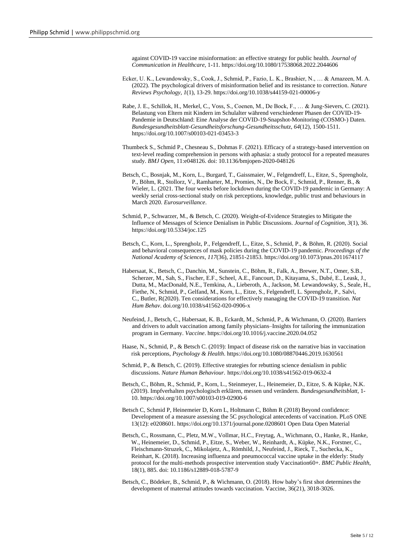against COVID-19 vaccine misinformation: an effective strategy for public health. *Journal of Communication in Healthcare*, 1-11[. https://doi.org/10.1080/17538068.2022.2044606](https://doi.org/10.1080/17538068.2022.2044606)

- Ecker, U. K., Lewandowsky, S., Cook, J., Schmid, P., Fazio, L. K., Brashier, N., … & Amazeen, M. A. (2022). The psychological drivers of misinformation belief and its resistance to correction. *Nature Reviews Psychology*, *1*(1), 13-29.<https://doi.org/10.1038/s44159-021-00006-y>
- Rabe, J. E., Schillok, H., Merkel, C., Voss, S., Coenen, M., De Bock, F., … & Jung-Sievers, C. (2021). Belastung von Eltern mit Kindern im Schulalter während verschiedener Phasen der COVID-19- Pandemie in Deutschland: Eine Analyse der COVID-19-Snapshot-Monitoring-(COSMO-) Daten. *Bundesgesundheitsblatt-Gesundheitsforschung-Gesundheitsschutz*, *64*(12), 1500-1511. <https://doi.org/10.1007/s00103-021-03453-3>
- Thumbeck S., Schmid P., Chesneau S., Dohmas F. (2021). Efficacy of a strategy-based intervention on text-level reading comprehension in persons with aphasia: a study protocol for a repeated measures study. *BMJ Open*, 11:e048126. doi: [10.1136/bmjopen-2020-048126](https://doi.org/10.1136/bmjopen-2020-048126)
- Betsch, C., Bosnjak, M., Korn, L., Burgard, T., Gaissmaier, W., Felgendreff, L., Eitze, S., Sprengholz, P., Böhm, R., Stollorz, V., Ramharter, M., Promies, N., De Bock, F., Schmid, P., Renner, B., & Wieler, L. (2021. The four weeks before lockdown during the COVID-19 pandemic in Germany: A weekly serial cross-sectional study on risk perceptions, knowledge, public trust and behaviours in March 2020. *Eurosurveillance*.
- Schmid, P., Schwarzer, M., & Betsch, C. (2020). Weight-of-Evidence Strategies to Mitigate the Influence of Messages of Science Denialism in Public Discussions. *Journal of Cognition*, *3*(1), 36. <https://doi.org/10.5334/joc.125>
- Betsch, C., Korn, L., Sprengholz, P., Felgendreff, L., Eitze, S., Schmid, P., & Böhm, R. (2020). Social and behavioral consequences of mask policies during the COVID-19 pandemic. *Proceedings of the National Academy of Sciences*, *117*(36), 21851-21853[. https://doi.org/10.1073/pnas.2011674117](https://doi.org/10.1073/pnas.2011674117)
- Habersaat, K., Betsch, C., Danchin, M., Sunstein, C., Böhm, R., Falk, A., Brewer, N.T., Omer, S.B., Scherzer, M., Sah, S., Fischer, E.F., Scheel, A.E., Fancourt, D., Kitayama, S., Dubé, E., Leask, J., Dutta, M., MacDonald, N.E., Temkina, A., Lieberoth, A., Jackson, M. Lewandowsky, S., Seale, H., Fiethe, N., Schmid, P., Gelfand, M., Korn, L., Eitze, S., Felgendreff, L. Sprengholz, P., Salvi, C., Butler, R(2020). Ten considerations for effectively managing the COVID-19 transition. *Nat Hum Behav*. [doi.org/10.1038/s41562-020-0906-x](https://doi.org/10.1038/s41562-020-0906-x)
- Neufeind, J., Betsch, C., Habersaat, K. B., Eckardt, M., Schmid, P., & Wichmann, O. (2020). Barriers and drivers to adult vaccination among family physicians–Insights for tailoring the immunization program in Germany. *Vaccine*.<https://doi.org/10.1016/j.vaccine.2020.04.052>
- Haase, N., Schmid, P., & Betsch C. (2019): Impact of disease risk on the narrative bias in vaccination risk perceptions, *Psychology & Health*. https://doi.org/10.1080/08870446.2019.1630561
- Schmid, P., & Betsch, C. (2019). Effective strategies for rebutting science denialism in public discussions. *Nature Human Behaviour*. https://doi.org/10.1038/s41562-019-0632-4
- Betsch, C., Böhm, R., Schmid, P., Korn, L., Steinmeyer, L., Heinemeier, D., Eitze, S. & Küpke, N.K. (2019). Impfverhalten psychologisch erklären, messen und verändern. *[Bundesgesundheitsblatt](https://link.springer.com/content/pdf/10.1007%2Fs00103-019-02900-6.pdf)*, 1- 10. <https://doi.org/10.1007/s00103-019-02900-6>
- Betsch C, Schmid P, Heinemeier D, Korn L, Holtmann C, Böhm R (2018) Beyond confidence: Development of a measure assessing the 5C psychological antecedents of vaccination. PLoS ONE 13(12): e0208601. <https://doi.org/10.1371/journal.pone.0208601> [Open Data](https://osf.io/agqem/) [Open Material](https://osf.io/agqem/)
- Betsch, C., Rossmann, C., Pletz, M.W., Vollmar, H.C., Freytag, A., Wichmann, O., Hanke, R., Hanke, W., Heinemeier, D., Schmid, P., Eitze, S., Weber, W., Reinhardt, A., Küpke, N.K., Forstner, C., Fleischmann-Struzek, C., Mikolajetz, A., Römhild, J., Neufeind, J., Rieck, T., Suchecka, K., Reinhart, K. (2018). Increasing influenza and pneumococcal vaccine uptake in the elderly: Study protocol for the multi-methods prospective intervention study Vaccination60+. *BMC Public Health*, 18(1), 885. doi: [10.1186/s12889-018-5787-9](https://doi.org/10.1186/s12889-018-5787-9)
- Betsch, C., Bödeker, B., Schmid, P., & Wichmann, O. (2018). How baby's first shot determines the development of maternal attitudes towards vaccination. Vaccine, 36(21), 3018-3026.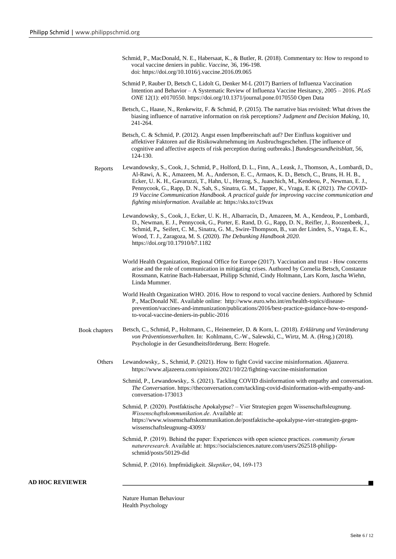- Schmid, P., MacDonald, N. E., Habersaat, K., & Butler, R. (2018). Commentary to: How to respond to vocal vaccine deniers in public. *Vaccine*, 36, 196-198. doi: <https://doi.org/10.1016/j.vaccine.2016.09.065>
- Schmid P, Rauber D, Betsch C, Lidolt G, Denker M-L (2017) Barriers of Influenza Vaccination Intention and Behavior – A Systematic Review of Influenza Vaccine Hesitancy, 2005 – 2016. *PLoS ONE* 12(1): e0170550. <https://doi.org/10.1371/journal.pone.0170550> [Open Data](https://osf.io/y83z7/)
- Betsch, C., Haase, N., Renkewitz, F. & Schmid, P. (2015). The narrative bias revisited: What drives the biasing influence of narrative information on risk perceptions? *[Judgment and Decision Making](http://journal.sjdm.org/14/141206a/jdm141206a.pdf)*, 10, 241-264.
- Betsch, C. & Schmid, P. (2012). Angst essen Impfbereitschaft auf? Der Einfluss kognitiver und affektiver Faktoren auf die Risikowahrnehmung im Ausbruchsgeschehen. [The influence of cognitive and affective aspects of risk perception during outbreaks.] *Bundesgesundheitsblatt*, 56, 124-130.
- Reports Lewandowsky, S., Cook, J., Schmid, P., Holford, D. L., Finn, A., Leask, J., Thomson, A., Lombardi, D., Al-Rawi, A. K., Amazeen, M. A., Anderson, E. C., Armaos, K. D., Betsch, C., Bruns, H. H. B., Ecker, U. K. H., Gavaruzzi, T., Hahn, U., Herzog, S., Juanchich, M., Kendeou, P., Newman, E. J., Pennycook, G., Rapp, D. N., Sah, S., Sinatra, G. M., Tapper, K., Vraga, E. K (2021). *The COVID-19 Vaccine Communication Handbook. A practical guide for improving vaccine communication and fighting misinformation*. Available at: https://sks.to/c19vax
	- Lewandowsky, S., Cook, J., Ecker, U. K. H., Albarracín, D., Amazeen, M. A., Kendeou, P., Lombardi, D., Newman, E. J., Pennycook, G., Porter, E. Rand, D. G., Rapp, D. N., Reifler, J., Roozenbeek, J., Schmid, P**.,** Seifert, C. M., Sinatra, G. M., Swire-Thompson, B., van der Linden, S., Vraga, E. K., Wood, T. J., Zaragoza, M. S. (2020). *The Debunking Handbook 2020*. <https://doi.org/10.17910/b7.1182>
	- World Health Organization, Regional Office for Europe (2017). Vaccination and trust How concerns arise and the role of communication in mitigating crises. Authored by Cornelia Betsch, Constanze Rossmann, Katrine Bach-Habersaat, Philipp Schmid, Cindy Holtmann, Lars Korn, Jascha Wiehn, Linda Mummer.
	- World Health Organization WHO. 2016. How to respond to vocal vaccine deniers. Authored by Schmid P., MacDonald NE. Available online: http://www.euro.who.int/en/health-topics/diseaseprevention/vaccines-and-immunization/publications/2016/best-practice-guidance-how-to-respondto-vocal-vaccine-deniers-in-public-2016
- Book chapters Betsch, C., Schmid, P., Holtmann, C., Heinemeier, D. & Korn, L. (2018). *Erklärung und Veränderung von Präventionsverhalten.* In: Kohlmann, C.-W., Salewski, C., Wirtz, M. A. (Hrsg.) (2018). Psychologie in der Gesundheitsförderung. Bern: Hogrefe.
	- Others Lewandowsky,. S., Schmid, P. (2021). How to fight Covid vaccine misinformation. *Aljazeera*. <https://www.aljazeera.com/opinions/2021/10/22/fighting-vaccine-misinformation>
		- Schmid, P., Lewandowsky,. S. (2021). Tackling COVID disinformation with empathy and conversation. *The Conversation*. [https://theconversation.com/tackling-covid-disinformation-with-empathy-and](https://www.wissenschaftskommunikation.de/postfaktische-apokalypse-vier-strategien-gegen-wissenschaftsleugnung-43093/)[conversation-173013](https://www.wissenschaftskommunikation.de/postfaktische-apokalypse-vier-strategien-gegen-wissenschaftsleugnung-43093/)
		- Schmid, P. (2020). Postfaktische Apokalypse? Vier Strategien gegen Wissenschaftsleugnung. *Wissenschaftskommunikation.de*. Available at: https://www.wissenschaftskommunikation.de/postfaktische-apokalypse-vier-strategien-gegenwissenschaftsleugnung-43093/
		- Schmid, P. (2019). Behind the paper: Experiences with open science practices. *community forum natureresearch*. Available at: https://socialsciences.nature.com/users/262518-philippschmid/posts/50129-did
		- Schmid, P. (2016). Impfmüdigkeit. *Skeptiker*, 04, 169-173

#### **AD HOC REVIEWER**

Nature Human Behaviour Health Psychology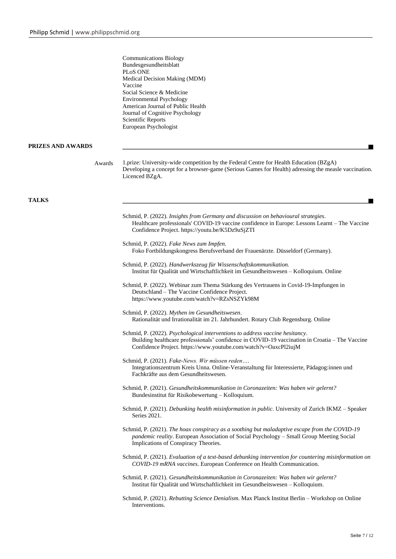|                   | <b>Communications Biology</b><br>Bundesgesundheitsblatt<br>PLoS ONE<br>Medical Decision Making (MDM)<br>Vaccine<br>Social Science & Medicine<br><b>Environmental Psychology</b><br>American Journal of Public Health<br>Journal of Cognitive Psychology<br>Scientific Reports<br>European Psychologist |
|-------------------|--------------------------------------------------------------------------------------------------------------------------------------------------------------------------------------------------------------------------------------------------------------------------------------------------------|
| PRIZES AND AWARDS |                                                                                                                                                                                                                                                                                                        |
| Awards            | 1.prize: University-wide competition by the Federal Centre for Health Education (BZgA)<br>Developing a concept for a browser-game (Serious Games for Health) adressing the measle vaccination.<br>Licenced BZgA.                                                                                       |
| <b>TALKS</b>      |                                                                                                                                                                                                                                                                                                        |
|                   | Schmid, P. (2022). Insights from Germany and discussion on behavioural strategies.<br>Healthcare professionals' COVID-19 vaccine confidence in Europe: Lessons Learnt – The Vaccine<br>Confidence Project. https://youtu.be/K5Dz9uSjZTI                                                                |
|                   | Schmid, P. (2022). Fake News zum Impfen.<br>Foko Fortbildungskongress Berufsverband der Frauenärzte. Düsseldorf (Germany).                                                                                                                                                                             |
|                   | Schmid, P. (2022). Handwerkszeug für Wissenschaftskommunikation.<br>Institut für Qualität und Wirtschaftlichkeit im Gesundheitswesen – Kolloquium. Online                                                                                                                                              |
|                   | Schmid, P. (2022). Webinar zum Thema Stärkung des Vertrauens in Covid-19-Impfungen in<br>Deutschland - The Vaccine Confidence Project.<br>https://www.youtube.com/watch?v=RZsNSZYk98M                                                                                                                  |
|                   | Schmid, P. (2022). Mythen im Gesundheitswesen.<br>Rationalität und Irrationalität im 21. Jahrhundert. Rotary Club Regensburg. Online                                                                                                                                                                   |
|                   | Schmid, P. (2022). Psychological interventions to address vaccine hesitancy.<br>Building healthcare professionals' confidence in COVID-19 vaccination in Croatia – The Vaccine<br>Confidence Project. https://www.youtube.com/watch?v=OaxcPl2iujM                                                      |
|                   | Schmid, P. (2021). Fake-News. Wir müssen reden<br>Integrationszentrum Kreis Unna. Online-Veranstaltung für Interessierte, Pädagog:innen und<br>Fachkräfte aus dem Gesundheitswesen.                                                                                                                    |
|                   | Schmid, P. (2021). Gesundheitskommunikation in Coronazeiten: Was haben wir gelernt?<br>Bundesinstitut für Risikobewertung - Kolloquium.                                                                                                                                                                |
|                   | Schmid, P. (2021). Debunking health misinformation in public. University of Zurich IKMZ - Speaker<br>Series 2021.                                                                                                                                                                                      |
|                   | Schmid, P. (2021). The hoax conspiracy as a soothing but maladaptive escape from the COVID-19<br>pandemic reality. European Association of Social Psychology - Small Group Meeting Social<br>Implications of Conspiracy Theories.                                                                      |
|                   | Schmid, P. (2021). Evaluation of a text-based debunking intervention for countering misinformation on<br>COVID-19 mRNA vaccines. European Conference on Health Communication.                                                                                                                          |
|                   | Schmid, P. (2021). Gesundheitskommunikation in Coronazeiten: Was haben wir gelernt?<br>Institut für Qualität und Wirtschaftlichkeit im Gesundheitswesen - Kolloquium.                                                                                                                                  |
|                   | Schmid, P. (2021). Rebutting Science Denialism. Max Planck Institut Berlin – Workshop on Online<br>Interventions.                                                                                                                                                                                      |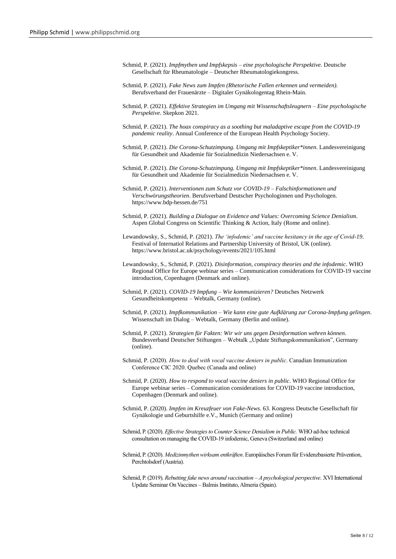- Schmid, P. (2021). *Impfmythen und Impfskepsis – eine psychologische Perspektive.* Deutsche Gesellschaft für Rheumatologie – Deutscher Rheumatologiekongress.
- Schmid, P. (2021). *Fake News zum Impfen (Rhetorische Fallen erkennen und vermeiden).* Berufsverband der Frauenärzte – Digitaler Gynäkologentag Rhein-Main.
- Schmid, P. (2021). *Effektive Strategien im Umgang mit Wissenschaftsleugnern – Eine psychologische Perspektive*. Skepkon 2021.
- Schmid, P. (2021). *The hoax conspiracy as a soothing but maladaptive escape from the COVID-19 pandemic reality*. Annual Conference of the European Health Psychology Society.
- Schmid, P. (2021). *Die Corona-Schutzimpung. Umgang mit Impfskeptiker\*innen*. Landesvereinigung für Gesundheit und Akademie für Sozialmedizin Niedersachsen e. V.
- Schmid, P. (2021). *Die Corona-Schutzimpung. Umgang mit Impfskeptiker\*innen*. Landesvereinigung für Gesundheit und Akademie für Sozialmedizin Niedersachsen e. V.
- Schmid, P. (2021). *Interventionen zum Schutz vor COVID-19 – Falschinformationen und Verschwörungstheorien*. Berufsverband Deutscher Psychologinnen und Psychologen. https://www.bdp-hessen.de/751
- Schmid, P. (2021). *Building a Dialogue on Evidence and Values: Overcoming Science Denialism*. Aspen Global Congress on Scientific Thinking & Action, Italy (Rome and online).
- Lewandowsky, S., Schmid, P. (2021). *The 'infodemic' and vaccine hesitancy in the age of Covid-19*. Festival of Internatiol Relations and Partnership University of Bristol, UK (online). https://www.bristol.ac.uk/psychology/events/2021/105.html
- Lewandowsky, S., Schmid, P. (2021). *Disinformation, conspiracy theories and the infodemic*. WHO Regional Office for Europe webinar series – Communication considerations for COVID-19 vaccine introduction, Copenhagen (Denmark and online).
- Schmid, P. (2021). *COVID-19 Impfung – Wie kommunizieren?* Deutsches Netzwerk Gesundheitskompetenz – Webtalk, Germany (online).
- Schmid, P. (2021). *Impfkommunikation – Wie kann eine gute Aufklärung zur Corona-Impfung gelingen*. Wissenschaft im Dialog – Webtalk, Germany (Berlin and online).
- Schmid, P. (2021). *Strategien für Fakten: Wir wir uns gegen Desinformation wehren können*. Bundesverband Deutscher Stiftungen – Webtalk "Update Stiftungskommunikation", Germany (online).
- Schmid, P. (2020). *How to deal with vocal vaccine deniers in public*. Canadian Immunization Conference CIC 2020. Quebec (Canada and online)
- Schmid, P. (2020). *How to respond to vocal vaccine deniers in public*. WHO Regional Office for Europe webinar series – Communication considerations for COVID-19 vaccine introduction, Copenhagen (Denmark and online).
- Schmid, P. (2020). *Impfen im Kreuzfeuer von Fake-News.* 63. Kongress Deutsche Gesellschaft für Gynäkologie und Geburtshilfe e.V., Munich (Germany and online)
- Schmid, P. (2020). *Effective Strategies to Counter Science Denialism in Public.* WHO ad-hoc technical consultation on managing the COVID-19 infodemic, Geneva (Switzerland and online)
- Schmid, P. (2020). *Medizinmythen wirksam entkräften*. Europäisches Forum für Evidenzbasierte Prävention, Perchtolsdorf (Austria).
- Schmid, P. (2019). *Rebutting fake news around vaccination – A psychological perspective*. XVI International Update Seminar On Vaccines –Balmis Instituto, Almeria (Spain).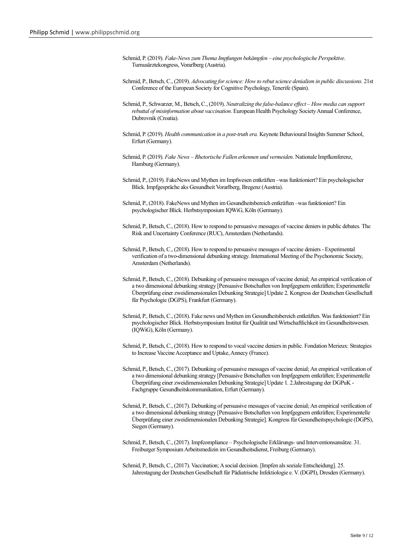- Schmid, P. (2019). *Fake-News zum Thema Impfungen bekämpfen – eine psychologische Perspektive*. Turnusärztekongress, Vorarlberg (Austria).
- Schmid, P., Betsch, C., (2019). *Advocating for science: How to rebut science denialism in public discussions.* 21st Conference of the European Society for Cognitive Psychology, Tenerife (Spain).
- Schmid, P., Schwarzer, M., Betsch, C., (2019). *Neutralizing the false-balance effect – How media can support rebuttal of misinformation about vaccination*. European Health Psychology Society Annual Conference, Dubrovnik (Croatia).
- Schmid, P. (2019). *Health communication in a post-truth era.* Keynote Behavioural Insights Summer School, Erfurt (Germany).
- Schmid, P. (2019). *Fake News – Rhetorische Fallen erkennen und vermeiden*. Nationale Impfkonferenz, Hamburg (Germany).
- Schmid, P., (2019). FakeNews und Mythen im Impfwesen entkräften –was funktioniert? Ein psychologischer Blick. Impfgespräche aks Gesundheit Vorarlberg, Bregenz (Austria).
- Schmid, P., (2018). FakeNews und Mythen im Gesundheitsbereich entkräften –was funktioniert? Ein psychologischer Blick. Herbstsymposium IQWiG, Köln (Germany).
- Schmid, P., Betsch, C., (2018). How to respond to persuasive messages of vaccine deniers in public debates. The Risk and Uncertainty Conference (RUC), Amsterdam (Netherlands).
- Schmid, P., Betsch, C., (2018). How to respond to persuasive messages of vaccine deniers Experimental verification of a two-dimensional debunking strategy. International Meeting of the Psychonomic Society, Amsterdam (Netherlands).
- Schmid, P., Betsch, C., (2018). Debunking of persuasive messages of vaccine denial; An empirical verification of a two dimensional debunking strategy [Persuasive Botschaften von Impfgegnern entkräften; Experimentelle Überprüfung einer zweidimensionalen Debunking Strategie] Update 2. Kongress der Deutschen Gesellschaft für Psychologie (DGPS), Frankfurt (Germany).
- Schmid, P., Betsch, C., (2018). Fake news und Mythen im Gesundheitsbereich entkräften. Was funktioniert? Ein psychologischer Blick. Herbstsymposium Institut für Qualität und Wirtschaftlichkeit im Gesundheitswesen. (IQWiG), Köln (Germany).
- Schmid, P., Betsch, C., (2018). How to respond to vocal vaccine deniers in public. Fondation Merieux: Strategies to Increase Vaccine Acceptance and Uptake, Annecy (France).
- Schmid, P., Betsch, C., (2017). Debunking of persuasive messages of vaccine denial; An empirical verification of a two dimensional debunking strategy [Persuasive Botschaften von Impfgegnern entkräften; Experimentelle Überprüfung einer zweidimensionalen Debunking Strategie] Update 1. 2.Jahrestagung der DGPuK - Fachgruppe Gesundheitskommunikation, Erfurt (Germany).
- Schmid, P., Betsch, C., (2017). Debunking of persuasive messages of vaccine denial; An empirical verification of a two dimensional debunking strategy [Persuasive Botschaften von Impfgegnern entkräften; Experimentelle Überprüfung einer zweidimensionalen Debunking Strategie]. Kongress für Gesundheitspsychologie (DGPS), Siegen (Germany).
- Schmid, P., Betsch, C., (2017). Impfcompliance Psychologische Erklärungs- und Interventionsansätze. 31. Freiburger Symposium Arbeitsmedizin im Gesundheitsdienst, Freiburg (Germany).
- Schmid, P., Betsch, C., (2017). Vaccination; A social decision. [Impfen als soziale Entscheidung]. 25. Jahrestagung der Deutschen Gesellschaft für Pädiatrische Infektiologie e. V. (DGPI), Dresden (Germany).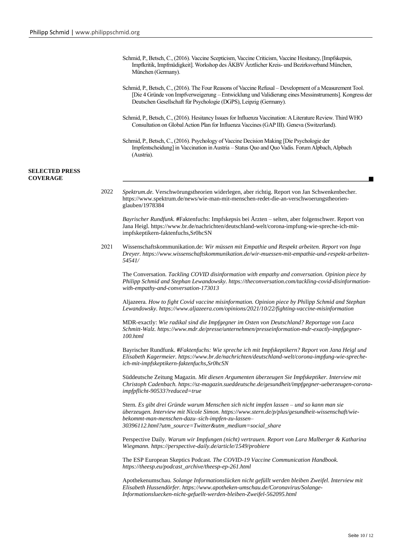|                                          |      | Schmid, P., Betsch, C., (2016). Vaccine Scepticism, Vaccine Criticism, Vaccine Hesitancy, [Impfskepsis,<br>Impfkritik, Impfmüdigkeit]. Workshop des ÄKBV Ärztlicher Kreis- und Bezirksverband München,<br>München (Germany).                                                                                 |
|------------------------------------------|------|--------------------------------------------------------------------------------------------------------------------------------------------------------------------------------------------------------------------------------------------------------------------------------------------------------------|
|                                          |      | Schmid, P., Betsch, C., (2016). The Four Reasons of Vaccine Refusal – Development of a Measurement Tool.<br>[Die 4 Gründe von Impfverweigerung - Entwicklung und Validierung eines Messinstruments]. Kongress der<br>Deutschen Gesellschaft für Psychologie (DGPS), Leipzig (Germany).                       |
|                                          |      | Schmid, P., Betsch, C., (2016). Hesitancy Issues for Influenza Vaccination: A Literature Review. Third WHO<br>Consultation on Global Action Plan for Influenza Vaccines (GAP III). Geneva (Switzerland).                                                                                                     |
|                                          |      | Schmid, P., Betsch, C., (2016). Psychology of Vaccine Decision Making [Die Psychologie der<br>Impfentscheidung] in Vaccination in Austria - Status Quo and Quo Vadis. Forum Alpbach, Alpbach<br>(Austria).                                                                                                   |
| <b>SELECTED PRESS</b><br><b>COVERAGE</b> |      |                                                                                                                                                                                                                                                                                                              |
|                                          | 2022 | Spektrum.de. Verschwörungstheorien widerlegen, aber richtig. Report von Jan Schwenkenbecher.<br>https://www.spektrum.de/news/wie-man-mit-menschen-redet-die-an-verschwoerungstheorien-<br>glauben/1978384                                                                                                    |
|                                          |      | Bayrischer Rundfunk. #Faktenfuchs: Impfskepsis bei Ärzten - selten, aber folgenschwer. Report von<br>Jana Heigl. https://www.br.de/nachrichten/deutschland-welt/corona-impfung-wie-spreche-ich-mit-<br>impfskeptikern-faktenfuchs, Sr0hcSN                                                                   |
|                                          | 2021 | Wissenschaftskommunikation.de: Wir müssen mit Empathie und Respekt arbeiten. Report von Inga<br>Dreyer. https://www.wissenschaftskommunikation.de/wir-muessen-mit-empathie-und-respekt-arbeiten-<br>54541/                                                                                                   |
|                                          |      | The Conversation. Tackling COVID disinformation with empathy and conversation. Opinion piece by<br>Philipp Schmid and Stephan Lewandowsky. https://theconversation.com/tackling-covid-disinformation-<br>with-empathy-and-conversation-173013                                                                |
|                                          |      | Aljazeera. How to fight Covid vaccine misinformation. Opinion piece by Philipp Schmid and Stephan<br>Lewandowsky. https://www.aljazeera.com/opinions/2021/10/22/fighting-vaccine-misinformation                                                                                                              |
|                                          |      | MDR-exactly: Wie radikal sind die Impfgegner im Osten von Deutschland? Reportage von Luca<br>Schmitt-Walz. https://www.mdr.de/presse/unternehmen/presseinformation-mdr-exactly-impfgegner-<br>100.html                                                                                                       |
|                                          |      | Bayrischer Rundfunk. #Faktenfuchs: Wie spreche ich mit Impfskeptikern? Report von Jana Heigl und<br>Elisabeth Kagermeier. https://www.br.de/nachrichten/deutschland-welt/corona-impfung-wie-spreche-<br>ich-mit-impfskeptikern-faktenfuchs, SrOhcSN                                                          |
|                                          |      | Süddeutsche Zeitung Magazin. Mit diesen Argumenten überzeugen Sie Impfskeptiker. Interview mit<br>Christoph Cadenbach. https://sz-magazin.sueddeutsche.de/gesundheit/impfgegner-ueberzeugen-corona-<br>impfpflicht-90533?reduced=true                                                                        |
|                                          |      | Stern. Es gibt drei Gründe warum Menschen sich nicht impfen lassen – und so kann man sie<br>überzeugen. Interview mit Nicole Simon. https://www.stern.de/p/plus/gesundheit-wissenschaft/wie-<br>bekommt-man-menschen-dazu-sich-impfen-zu-lassen-<br>30396112.html?utm_source=Twitter&utm_medium=social_share |
|                                          |      | Perspective Daily. Warum wir Impfungen (nicht) vertrauen. Report von Lara Malberger & Katharina<br>Wiegmann. https://perspective-daily.de/article/1549/probiere                                                                                                                                              |
|                                          |      | The ESP European Skeptics Podcast. The COVID-19 Vaccine Communication Handbook.<br>https://theesp.eu/podcast_archive/theesp-ep-261.html                                                                                                                                                                      |
|                                          |      | Apothekenumschau. Solange Informationslücken nicht gefüllt werden bleiben Zweifel. Interview mit<br>Elisabeth Hussendörfer. https://www.apotheken-umschau.de/Coronavirus/Solange-<br>Informationsluecken-nicht-gefuellt-werden-bleiben-Zweifel-562095.html                                                   |
|                                          |      |                                                                                                                                                                                                                                                                                                              |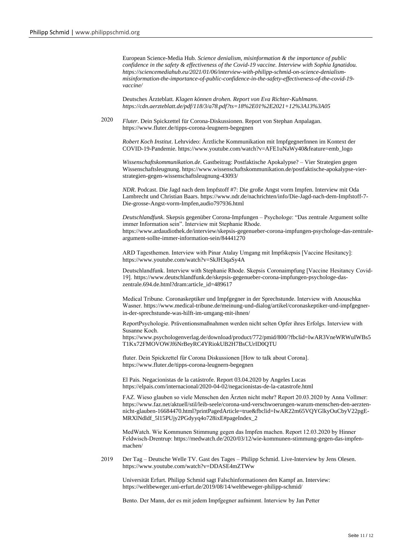European Science-Media Hub*. Science denialism, misinformation & the importance of public confidence in the safety & effectiveness of the Covid-19 vaccine. Interview with Sophia Ignatidou. https://sciencemediahub.eu/2021/01/06/interview-with-philipp-schmid-on-science-denialismmisinformation-the-importance-of-public-confidence-in-the-safety-effectiveness-of-the-covid-19 vaccine/*

Deutsches Ärzteblatt*. Klagen können drohen. Report von Eva Richter-Kuhlmann. https://cdn.aerzteblatt.de/pdf/118/3/a78.pdf?ts=18%2E01%2E2021+12%3A13%3A05*

2020 *Fluter*. Dein Spickzettel für Corona-Diskussionen. Report von Stephan Anpalagan. https://www.fluter.de/tipps-corona-leugnern-begegnen

*Robert Koch Institut*. Lehrvideo: Ärztliche Kommunikation mit ImpfgegnerInnen im Kontext der COVID-19-Pandemie. https://www.youtube.com/watch?v=AFE1uNaWy40&feature=emb\_logo

*Wissenschaftskommunikation.de*. Gastbeitrag: Postfaktische Apokalypse? – Vier Strategien gegen Wissenschaftsleugnung. https://www.wissenschaftskommunikation.de/postfaktische-apokalypse-vierstrategien-gegen-wissenschaftsleugnung-43093/

*NDR*. Podcast. Die Jagd nach dem Impfstoff #7: Die große Angst vorm Impfen. Interview mit Oda Lambrecht und Christian Baars. https://www.ndr.de/nachrichten/info/Die-Jagd-nach-dem-Impfstoff-7- Die-grosse-Angst-vorm-Impfen,audio797936.html

*Deutschlandfunk*. Skepsis gegenüber Corona-Impfungen – Psychologe: "Das zentrale Argument sollte immer Information sein". Interview mit Stephanie Rhode. https://www.ardaudiothek.de/interview/skepsis-gegenueber-corona-impfungen-psychologe-das-zentraleargument-sollte-immer-information-sein/84441270

ARD Tagesthemen. Interview with Pinar Atalay Umgang mit Impfskepsis [Vaccine Hesitancy]: https://www.youtube.com/watch?v=SkJH3qaSy4A

Deutschlandfunk. Interview with Stephanie Rhode. Skepsis Coronaimpfung [Vaccine Hesitancy Covid-19]. https://www.deutschlandfunk.de/skepsis-gegenueber-corona-impfungen-psychologe-daszentrale.694.de.html?dram:article\_id=489617

Medical Tribune. Coronaskeptiker und Impfgegner in der Sprechstunde. Interview with Anouschka Wasner. https://www.medical-tribune.de/meinung-und-dialog/artikel/coronaskeptiker-und-impfgegnerin-der-sprechstunde-was-hilft-im-umgang-mit-ihnen/

ReportPsychologie. Präventionsmaßnahmen werden nicht selten Opfer ihres Erfolgs. Interview with Susanne Koch.

https://www.psychologenverlag.de/download/product/772/pmid/800/?fbclid=IwAR3VneWRWuIWBs5 T1Kx72FMOVOWJf6NrBeyRC4YRiokUB2H7BsCUrID0QTU

fluter. Dein Spickzettel für Corona Diskussionen [How to talk about Corona]. https://www.fluter.de/tipps-corona-leugnern-begegnen

El Pais. Negacionistas de la catástrofe. Report 03.04.2020 by Angeles Lucas https://elpais.com/internacional/2020-04-02/negacionistas-de-la-catastrofe.html

FAZ. Wieso glauben so viele Menschen den Ärzten nicht mehr? Report 20.03.2020 by Anna Vollmer: https://www.faz.net/aktuell/stil/leib-seele/corona-und-verschwoerungen-warum-menschen-den-aerztennicht-glauben-16684470.html?printPagedArticle=true&fbclid=IwAR22m65VQYGlkyOuCbyV22pgE-MRXlNdldf\_5l15PUjy2PGdyyq4o728ixE#pageIndex\_2

MedWatch. Wie Kommunen Stimmung gegen das Impfen machen. Report 12.03.2020 by Hinner Feldwisch-Drentrup: https://medwatch.de/2020/03/12/wie-kommunen-stimmung-gegen-das-impfenmachen/

2019 Der Tag – Deutsche Welle TV. Gast des Tages – Philipp Schmid. Live-Interview by Jens Olesen. https://www.youtube.com/watch?v=DDASE4mZTWw

Universität Erfurt. Philipp Schmid sagt Falschinformationen den Kampf an. Interview: https://weltbeweger.uni-erfurt.de/2019/08/14/weltbeweger-philipp-schmid/

Bento. Der Mann, der es mit jedem Impfgegner aufnimmt. Interview by Jan Petter